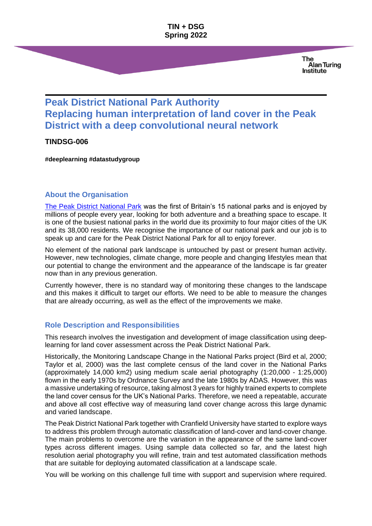#### **TIN + DSG Spring 2022**

**The Alan Turing Institute** 

# **Peak District National Park Authority Replacing human interpretation of land cover in the Peak District with a deep convolutional neural network**

#### **TINDSG-006**

**#deeplearning #datastudygroup**

# **About the Organisation**

[The Peak District National Park](https://www.peakdistrict.gov.uk/) was the first of Britain's 15 national parks and is enjoyed by millions of people every year, looking for both adventure and a breathing space to escape. It is one of the busiest national parks in the world due its proximity to four major cities of the UK and its 38,000 residents. We recognise the importance of our national park and our job is to speak up and care for the Peak District National Park for all to enjoy forever.

No element of the national park landscape is untouched by past or present human activity. However, new technologies, climate change, more people and changing lifestyles mean that our potential to change the environment and the appearance of the landscape is far greater now than in any previous generation.

Currently however, there is no standard way of monitoring these changes to the landscape and this makes it difficult to target our efforts. We need to be able to measure the changes that are already occurring, as well as the effect of the improvements we make.

# **Role Description and Responsibilities**

This research involves the investigation and development of image classification using deeplearning for land cover assessment across the Peak District National Park.

Historically, the Monitoring Landscape Change in the National Parks project (Bird et al, 2000; Taylor et al, 2000) was the last complete census of the land cover in the National Parks (approximately 14,000 km2) using medium scale aerial photography (1:20,000 - 1:25,000) flown in the early 1970s by Ordnance Survey and the late 1980s by ADAS. However, this was a massive undertaking of resource, taking almost 3 years for highly trained experts to complete the land cover census for the UK's National Parks. Therefore, we need a repeatable, accurate and above all cost effective way of measuring land cover change across this large dynamic and varied landscape.

The Peak District National Park together with Cranfield University have started to explore ways to address this problem through automatic classification of land-cover and land-cover change. The main problems to overcome are the variation in the appearance of the same land-cover types across different images. Using sample data collected so far, and the latest high resolution aerial photography you will refine, train and test automated classification methods that are suitable for deploying automated classification at a landscape scale.

You will be working on this challenge full time with support and supervision where required.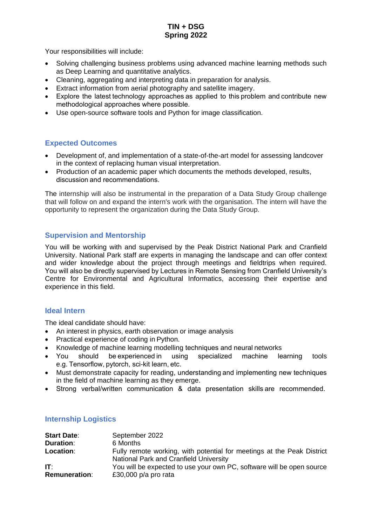# **TIN + DSG Spring 2022**

Your responsibilities will include:

- Solving challenging business problems using advanced machine learning methods such as Deep Learning and quantitative analytics.
- Cleaning, aggregating and interpreting data in preparation for analysis.
- Extract information from aerial photography and satellite imagery.
- Explore the latest technology approaches as applied to this problem and contribute new methodological approaches where possible.
- Use open-source software tools and Python for image classification.

# **Expected Outcomes**

- Development of, and implementation of a state-of-the-art model for assessing landcover in the context of replacing human visual interpretation.
- Production of an academic paper which documents the methods developed, results, discussion and recommendations.

The internship will also be instrumental in the preparation of a Data Study Group challenge that will follow on and expand the intern's work with the organisation. The intern will have the opportunity to represent the organization during the Data Study Group.

# **Supervision and Mentorship**

You will be working with and supervised by the Peak District National Park and Cranfield University. National Park staff are experts in managing the landscape and can offer context and wider knowledge about the project through meetings and fieldtrips when required. You will also be directly supervised by Lectures in Remote Sensing from Cranfield University's Centre for Environmental and Agricultural Informatics, accessing their expertise and experience in this field.

# **Ideal Intern**

The ideal candidate should have:

- An interest in physics, earth observation or image analysis
- Practical experience of coding in Python.
- Knowledge of machine learning modelling techniques and neural networks
- You should be experienced in using specialized machine learning tools e.g. Tensorflow, pytorch, sci-kit learn, etc.
- Must demonstrate capacity for reading, understanding and implementing new techniques in the field of machine learning as they emerge.
- Strong verbal/written communication & data presentation skills are recommended.

| <b>Start Date:</b>   | September 2022                                                                                                   |
|----------------------|------------------------------------------------------------------------------------------------------------------|
| <b>Duration:</b>     | 6 Months                                                                                                         |
| Location:            | Fully remote working, with potential for meetings at the Peak District<br>National Park and Cranfield University |
| IT:                  | You will be expected to use your own PC, software will be open source                                            |
| <b>Remuneration:</b> | £30,000 $p/a$ pro rata                                                                                           |

# **Internship Logistics**